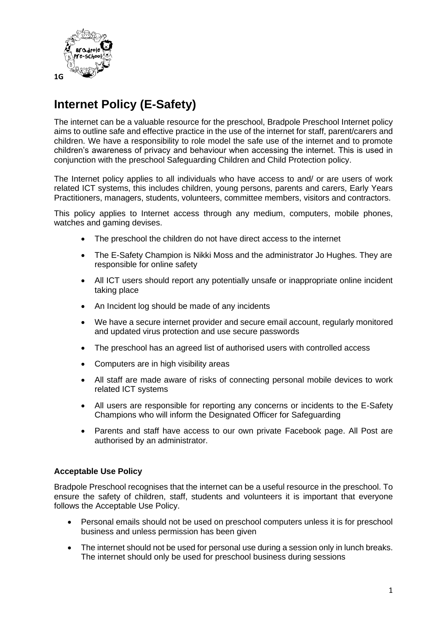

# **Internet Policy (E-Safety)**

The internet can be a valuable resource for the preschool, Bradpole Preschool Internet policy aims to outline safe and effective practice in the use of the internet for staff, parent/carers and children. We have a responsibility to role model the safe use of the internet and to promote children's awareness of privacy and behaviour when accessing the internet. This is used in conjunction with the preschool Safeguarding Children and Child Protection policy.

The Internet policy applies to all individuals who have access to and/ or are users of work related ICT systems, this includes children, young persons, parents and carers, Early Years Practitioners, managers, students, volunteers, committee members, visitors and contractors.

This policy applies to Internet access through any medium, computers, mobile phones, watches and gaming devises.

- The preschool the children do not have direct access to the internet
- The E-Safety Champion is Nikki Moss and the administrator Jo Hughes. They are responsible for online safety
- All ICT users should report any potentially unsafe or inappropriate online incident taking place
- An Incident log should be made of any incidents
- We have a secure internet provider and secure email account, regularly monitored and updated virus protection and use secure passwords
- The preschool has an agreed list of authorised users with controlled access
- Computers are in high visibility areas
- All staff are made aware of risks of connecting personal mobile devices to work related ICT systems
- All users are responsible for reporting any concerns or incidents to the E-Safety Champions who will inform the Designated Officer for Safeguarding
- Parents and staff have access to our own private Facebook page. All Post are authorised by an administrator.

#### **Acceptable Use Policy**

Bradpole Preschool recognises that the internet can be a useful resource in the preschool. To ensure the safety of children, staff, students and volunteers it is important that everyone follows the Acceptable Use Policy.

- Personal emails should not be used on preschool computers unless it is for preschool business and unless permission has been given
- The internet should not be used for personal use during a session only in lunch breaks. The internet should only be used for preschool business during sessions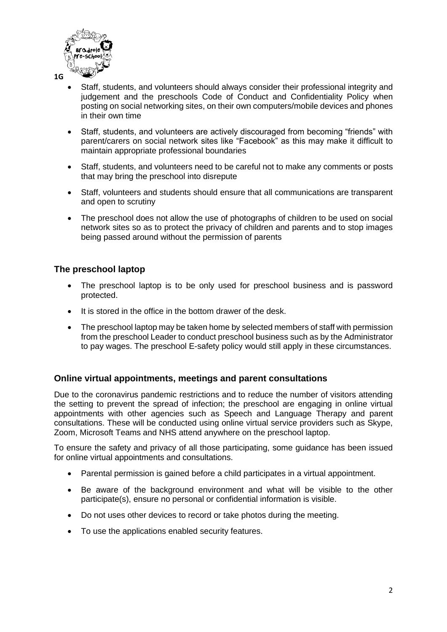

- Staff, students, and volunteers should always consider their professional integrity and judgement and the preschools Code of Conduct and Confidentiality Policy when posting on social networking sites, on their own computers/mobile devices and phones in their own time
- Staff, students, and volunteers are actively discouraged from becoming "friends" with parent/carers on social network sites like "Facebook" as this may make it difficult to maintain appropriate professional boundaries
- Staff, students, and volunteers need to be careful not to make any comments or posts that may bring the preschool into disrepute
- Staff, volunteers and students should ensure that all communications are transparent and open to scrutiny
- The preschool does not allow the use of photographs of children to be used on social network sites so as to protect the privacy of children and parents and to stop images being passed around without the permission of parents

#### **The preschool laptop**

- The preschool laptop is to be only used for preschool business and is password protected.
- It is stored in the office in the bottom drawer of the desk.
- The preschool laptop may be taken home by selected members of staff with permission from the preschool Leader to conduct preschool business such as by the Administrator to pay wages. The preschool E-safety policy would still apply in these circumstances.

#### **Online virtual appointments, meetings and parent consultations**

Due to the coronavirus pandemic restrictions and to reduce the number of visitors attending the setting to prevent the spread of infection; the preschool are engaging in online virtual appointments with other agencies such as Speech and Language Therapy and parent consultations. These will be conducted using online virtual service providers such as Skype, Zoom, Microsoft Teams and NHS attend anywhere on the preschool laptop.

To ensure the safety and privacy of all those participating, some guidance has been issued for online virtual appointments and consultations.

- Parental permission is gained before a child participates in a virtual appointment.
- Be aware of the background environment and what will be visible to the other participate(s), ensure no personal or confidential information is visible.
- Do not uses other devices to record or take photos during the meeting.
- To use the applications enabled security features.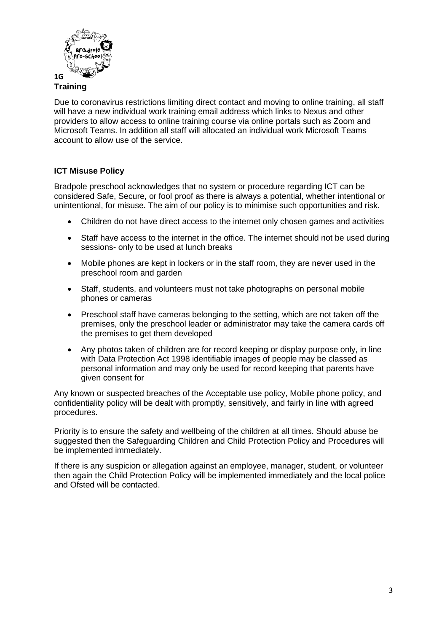

## **Training**

Due to coronavirus restrictions limiting direct contact and moving to online training, all staff will have a new individual work training email address which links to Nexus and other providers to allow access to online training course via online portals such as Zoom and Microsoft Teams. In addition all staff will allocated an individual work Microsoft Teams account to allow use of the service.

#### **ICT Misuse Policy**

Bradpole preschool acknowledges that no system or procedure regarding ICT can be considered Safe, Secure, or fool proof as there is always a potential, whether intentional or unintentional, for misuse. The aim of our policy is to minimise such opportunities and risk.

- Children do not have direct access to the internet only chosen games and activities
- Staff have access to the internet in the office. The internet should not be used during sessions- only to be used at lunch breaks
- Mobile phones are kept in lockers or in the staff room, they are never used in the preschool room and garden
- Staff, students, and volunteers must not take photographs on personal mobile phones or cameras
- Preschool staff have cameras belonging to the setting, which are not taken off the premises, only the preschool leader or administrator may take the camera cards off the premises to get them developed
- Any photos taken of children are for record keeping or display purpose only, in line with Data Protection Act 1998 identifiable images of people may be classed as personal information and may only be used for record keeping that parents have given consent for

Any known or suspected breaches of the Acceptable use policy, Mobile phone policy, and confidentiality policy will be dealt with promptly, sensitively, and fairly in line with agreed procedures.

Priority is to ensure the safety and wellbeing of the children at all times. Should abuse be suggested then the Safeguarding Children and Child Protection Policy and Procedures will be implemented immediately.

If there is any suspicion or allegation against an employee, manager, student, or volunteer then again the Child Protection Policy will be implemented immediately and the local police and Ofsted will be contacted.